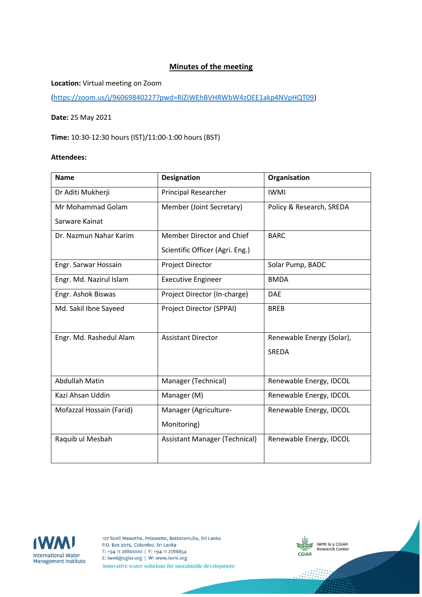# **Minutes of the meeting**

## **Location:** Virtual meeting on Zoom

[\(https://zoom.us/j/96069840227?pwd=RlZiWEhBVHRWbW4zOEE1akp4NVpHQT09\)](https://zoom.us/j/96069840227?pwd=RlZiWEhBVHRWbW4zOEE1akp4NVpHQT09)

#### **Date:** 25 May 2021

**Time:** 10:30-12:30 hours (IST)/11:00-1:00 hours (BST)

#### **Attendees:**

| <b>Name</b>              | <b>Designation</b>                   | Organisation              |
|--------------------------|--------------------------------------|---------------------------|
| Dr Aditi Mukherji        | <b>Principal Researcher</b>          | <b>IWMI</b>               |
| Mr Mohammad Golam        | Member (Joint Secretary)             | Policy & Research, SREDA  |
| Sarware Kainat           |                                      |                           |
| Dr. Nazmun Nahar Karim   | Member Director and Chief            | <b>BARC</b>               |
|                          | Scientific Officer (Agri. Eng.)      |                           |
| Engr. Sarwar Hossain     | <b>Project Director</b>              | Solar Pump, BADC          |
| Engr. Md. Nazirul Islam  | <b>Executive Engineer</b>            | <b>BMDA</b>               |
| Engr. Ashok Biswas       | Project Director (In-charge)         | <b>DAE</b>                |
| Md. Sakil Ibne Sayeed    | Project Director (SPPAI)             | <b>BREB</b>               |
|                          |                                      |                           |
| Engr. Md. Rashedul Alam  | <b>Assistant Director</b>            | Renewable Energy (Solar), |
|                          |                                      | <b>SREDA</b>              |
|                          |                                      |                           |
| Abdullah Matin           | Manager (Technical)                  | Renewable Energy, IDCOL   |
| Kazi Ahsan Uddin         | Manager (M)                          | Renewable Energy, IDCOL   |
| Mofazzal Hossain (Farid) | Manager (Agriculture-                | Renewable Energy, IDCOL   |
|                          | Monitoring)                          |                           |
| Raquib ul Mesbah         | <b>Assistant Manager (Technical)</b> | Renewable Energy, IDCOL   |
|                          |                                      |                           |



127 Sunil Mawatha, Pelawatte, Battaramulla, Sri Lanka P.O. Box 2075, Colombo, Sri Lanka T: +94 11 2880000 | F: +94 11 2786854 E: iwmi@cgiar.org | W: www.iwmi.org Innovative water solutions for sustainable development



-18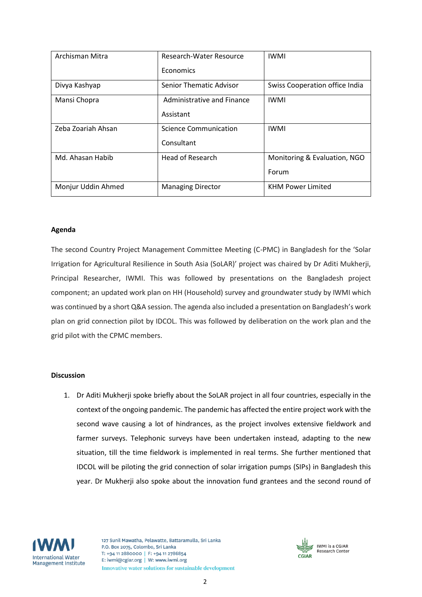| Archisman Mitra    | Research-Water Resource        | <b>IWMI</b>                    |
|--------------------|--------------------------------|--------------------------------|
|                    | Economics                      |                                |
| Divya Kashyap      | <b>Senior Thematic Advisor</b> | Swiss Cooperation office India |
| Mansi Chopra       | Administrative and Finance     | <b>IWMI</b>                    |
|                    | Assistant                      |                                |
| Zeba Zoariah Ahsan | Science Communication          | <b>IWMI</b>                    |
|                    | Consultant                     |                                |
| Md. Ahasan Habib   | Head of Research               | Monitoring & Evaluation, NGO   |
|                    |                                | Forum                          |
| Monjur Uddin Ahmed | <b>Managing Director</b>       | <b>KHM Power Limited</b>       |

## **Agenda**

The second Country Project Management Committee Meeting (C-PMC) in Bangladesh for the 'Solar Irrigation for Agricultural Resilience in South Asia (SoLAR)' project was chaired by Dr Aditi Mukherji, Principal Researcher, IWMI. This was followed by presentations on the Bangladesh project component; an updated work plan on HH (Household) survey and groundwater study by IWMI which was continued by a short Q&A session. The agenda also included a presentation on Bangladesh's work plan on grid connection pilot by IDCOL. This was followed by deliberation on the work plan and the grid pilot with the CPMC members.

#### **Discussion**

1. Dr Aditi Mukherji spoke briefly about the SoLAR project in all four countries, especially in the context of the ongoing pandemic. The pandemic has affected the entire project work with the second wave causing a lot of hindrances, as the project involves extensive fieldwork and farmer surveys. Telephonic surveys have been undertaken instead, adapting to the new situation, till the time fieldwork is implemented in real terms. She further mentioned that IDCOL will be piloting the grid connection of solar irrigation pumps (SIPs) in Bangladesh this year. Dr Mukherji also spoke about the innovation fund grantees and the second round of



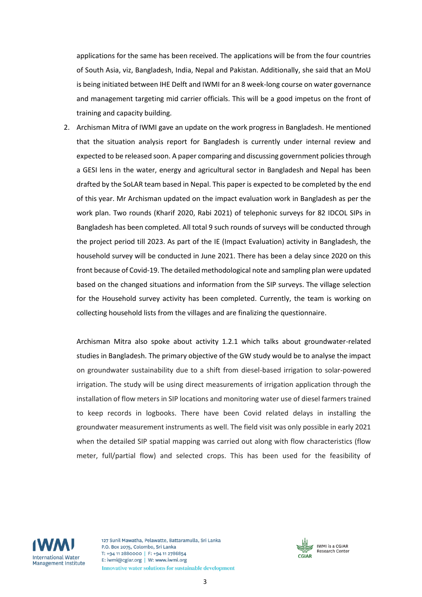applications for the same has been received. The applications will be from the four countries of South Asia, viz, Bangladesh, India, Nepal and Pakistan. Additionally, she said that an MoU is being initiated between IHE Delft and IWMI for an 8 week-long course on water governance and management targeting mid carrier officials. This will be a good impetus on the front of training and capacity building.

2. Archisman Mitra of IWMI gave an update on the work progress in Bangladesh. He mentioned that the situation analysis report for Bangladesh is currently under internal review and expected to be released soon. A paper comparing and discussing government policies through a GESI lens in the water, energy and agricultural sector in Bangladesh and Nepal has been drafted by the SoLAR team based in Nepal. This paper is expected to be completed by the end of this year. Mr Archisman updated on the impact evaluation work in Bangladesh as per the work plan. Two rounds (Kharif 2020, Rabi 2021) of telephonic surveys for 82 IDCOL SIPs in Bangladesh has been completed. All total 9 such rounds of surveys will be conducted through the project period till 2023. As part of the IE (Impact Evaluation) activity in Bangladesh, the household survey will be conducted in June 2021. There has been a delay since 2020 on this front because of Covid-19. The detailed methodological note and sampling plan were updated based on the changed situations and information from the SIP surveys. The village selection for the Household survey activity has been completed. Currently, the team is working on collecting household lists from the villages and are finalizing the questionnaire.

Archisman Mitra also spoke about activity 1.2.1 which talks about groundwater-related studies in Bangladesh. The primary objective of the GW study would be to analyse the impact on groundwater sustainability due to a shift from diesel-based irrigation to solar-powered irrigation. The study will be using direct measurements of irrigation application through the installation of flow meters in SIP locations and monitoring water use of diesel farmers trained to keep records in logbooks. There have been Covid related delays in installing the groundwater measurement instruments as well. The field visit was only possible in early 2021 when the detailed SIP spatial mapping was carried out along with flow characteristics (flow meter, full/partial flow) and selected crops. This has been used for the feasibility of



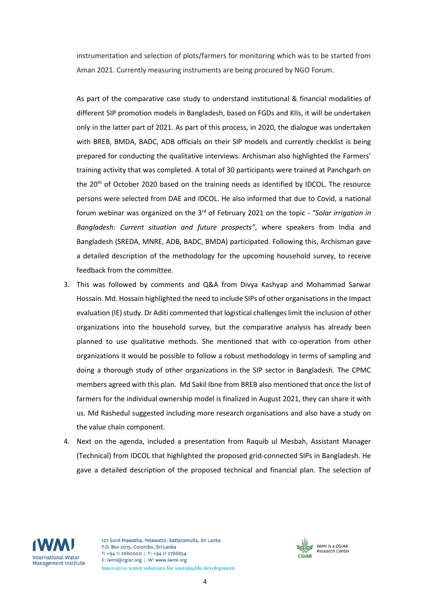instrumentation and selection of plots/farmers for monitoring which was to be started from Aman 2021. Currently measuring instruments are being procured by NGO Forum.

As part of the comparative case study to understand institutional & financial modalities of different SIP promotion models in Bangladesh, based on FGDs and KIIs, it will be undertaken only in the latter part of 2021. As part of this process, in 2020, the dialogue was undertaken with BREB, BMDA, BADC, ADB officials on their SIP models and currently checklist is being prepared for conducting the qualitative interviews. Archisman also highlighted the Farmers' training activity that was completed. A total of 30 participants were trained at Panchgarh on the 20<sup>th</sup> of October 2020 based on the training needs as identified by IDCOL. The resource persons were selected from DAE and IDCOL. He also informed that due to Covid, a national forum webinar was organized on the 3rd of February 2021 on the topic - *"Solar irrigation in Bangladesh: Current situation and future prospects"*, where speakers from India and Bangladesh (SREDA, MNRE, ADB, BADC, BMDA) participated. Following this, Archisman gave a detailed description of the methodology for the upcoming household survey, to receive feedback from the committee.

- 3. This was followed by comments and Q&A from Divya Kashyap and Mohammad Sarwar Hossain. Md. Hossain highlighted the need to include SIPs of other organisations in the Impact evaluation (IE) study. Dr Aditi commented that logistical challenges limit the inclusion of other organizations into the household survey, but the comparative analysis has already been planned to use qualitative methods. She mentioned that with co-operation from other organizations it would be possible to follow a robust methodology in terms of sampling and doing a thorough study of other organizations in the SIP sector in Bangladesh. The CPMC members agreed with this plan. Md Sakil Ibne from BREB also mentioned that once the list of farmers for the individual ownership model is finalized in August 2021, they can share it with us. Md Rashedul suggested including more research organisations and also have a study on the value chain component.
- 4. Next on the agenda, included a presentation from Raquib ul Mesbah, Assistant Manager (Technical) from IDCOL that highlighted the proposed grid-connected SIPs in Bangladesh. He gave a detailed description of the proposed technical and financial plan. The selection of



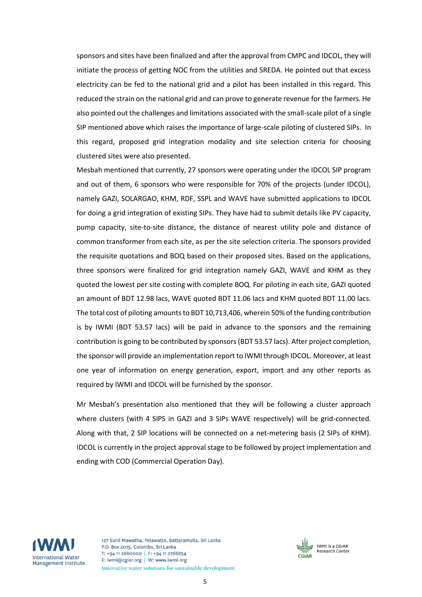sponsors and sites have been finalized and after the approval from CMPC and IDCOL, they will initiate the process of getting NOC from the utilities and SREDA. He pointed out that excess electricity can be fed to the national grid and a pilot has been installed in this regard. This reduced the strain on the national grid and can prove to generate revenue for the farmers. He also pointed out the challenges and limitations associated with the small-scale pilot of a single SIP mentioned above which raises the importance of large-scale piloting of clustered SIPs. In this regard, proposed grid integration modality and site selection criteria for choosing clustered sites were also presented.

Mesbah mentioned that currently, 27 sponsors were operating under the IDCOL SIP program and out of them, 6 sponsors who were responsible for 70% of the projects (under IDCOL), namely GAZI, SOLARGAO, KHM, RDF, SSPL and WAVE have submitted applications to IDCOL for doing a grid integration of existing SIPs. They have had to submit details like PV capacity, pump capacity, site-to-site distance, the distance of nearest utility pole and distance of common transformer from each site, as per the site selection criteria. The sponsors provided the requisite quotations and BOQ based on their proposed sites. Based on the applications, three sponsors were finalized for grid integration namely GAZI, WAVE and KHM as they quoted the lowest per site costing with complete BOQ. For piloting in each site, GAZI quoted an amount of BDT 12.98 lacs, WAVE quoted BDT 11.06 lacs and KHM quoted BDT 11.00 lacs. The total cost of piloting amounts to BDT 10,713,406, wherein 50% of the funding contribution is by IWMI (BDT 53.57 lacs) will be paid in advance to the sponsors and the remaining contribution is going to be contributed by sponsors (BDT 53.57 lacs). After project completion, the sponsor will provide an implementation report to IWMI through IDCOL. Moreover, at least one year of information on energy generation, export, import and any other reports as required by IWMI and IDCOL will be furnished by the sponsor.

Mr Mesbah's presentation also mentioned that they will be following a cluster approach where clusters (with 4 SIPS in GAZI and 3 SIPs WAVE respectively) will be grid-connected. Along with that, 2 SIP locations will be connected on a net-metering basis (2 SIPs of KHM). IDCOL is currently in the project approval stage to be followed by project implementation and ending with COD (Commercial Operation Day).



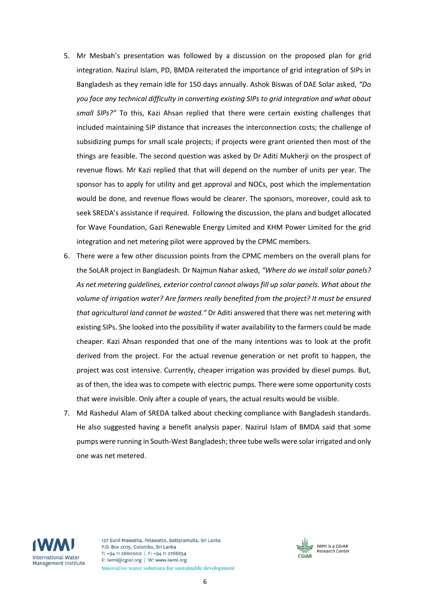- 5. Mr Mesbah's presentation was followed by a discussion on the proposed plan for grid integration. Nazirul Islam, PD, BMDA reiterated the importance of grid integration of SIPs in Bangladesh as they remain idle for 150 days annually. Ashok Biswas of DAE Solar asked, *"Do you face any technical difficulty in converting existing SIPs to grid integration and what about small SIPs?"* To this, Kazi Ahsan replied that there were certain existing challenges that included maintaining SIP distance that increases the interconnection costs; the challenge of subsidizing pumps for small scale projects; if projects were grant oriented then most of the things are feasible. The second question was asked by Dr Aditi Mukherji on the prospect of revenue flows. Mr Kazi replied that that will depend on the number of units per year. The sponsor has to apply for utility and get approval and NOCs, post which the implementation would be done, and revenue flows would be clearer. The sponsors, moreover, could ask to seek SREDA's assistance if required. Following the discussion, the plans and budget allocated for Wave Foundation, Gazi Renewable Energy Limited and KHM Power Limited for the grid integration and net metering pilot were approved by the CPMC members.
- 6. There were a few other discussion points from the CPMC members on the overall plans for the SoLAR project in Bangladesh. Dr Najmun Nahar asked, *"Where do we install solar panels? As net metering guidelines, exterior control cannot always fill up solar panels. What about the volume of irrigation water? Are farmers really benefited from the project? It must be ensured that agricultural land cannot be wasted."* Dr Aditi answered that there was net metering with existing SIPs. She looked into the possibility if water availability to the farmers could be made cheaper. Kazi Ahsan responded that one of the many intentions was to look at the profit derived from the project. For the actual revenue generation or net profit to happen, the project was cost intensive. Currently, cheaper irrigation was provided by diesel pumps. But, as of then, the idea was to compete with electric pumps. There were some opportunity costs that were invisible. Only after a couple of years, the actual results would be visible.
- 7. Md Rashedul Alam of SREDA talked about checking compliance with Bangladesh standards. He also suggested having a benefit analysis paper. Nazirul Islam of BMDA said that some pumps were running in South-West Bangladesh; three tube wells were solar irrigated and only one was net metered.



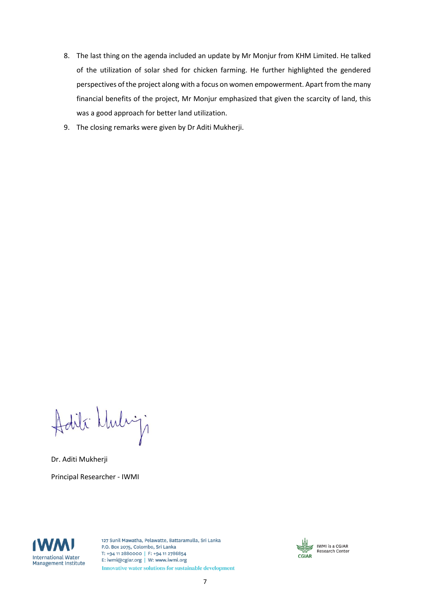- 8. The last thing on the agenda included an update by Mr Monjur from KHM Limited. He talked of the utilization of solar shed for chicken farming. He further highlighted the gendered perspectives of the project along with a focus on women empowerment. Apart from the many financial benefits of the project, Mr Monjur emphasized that given the scarcity of land, this was a good approach for better land utilization.
- 9. The closing remarks were given by Dr Aditi Mukherji.

Adili Muliji

Dr. Aditi Mukherji Principal Researcher - IWMI



127 Sunil Mawatha, Pelawatte, Battaramulla, Sri Lanka P.O. Box 2075, Colombo, Sri Lanka T: +94 11 2880000 | F: +94 11 2786854 E: iwmi@cgiar.org | W: www.iwmi.org Innovative water solutions for sustainable development



7